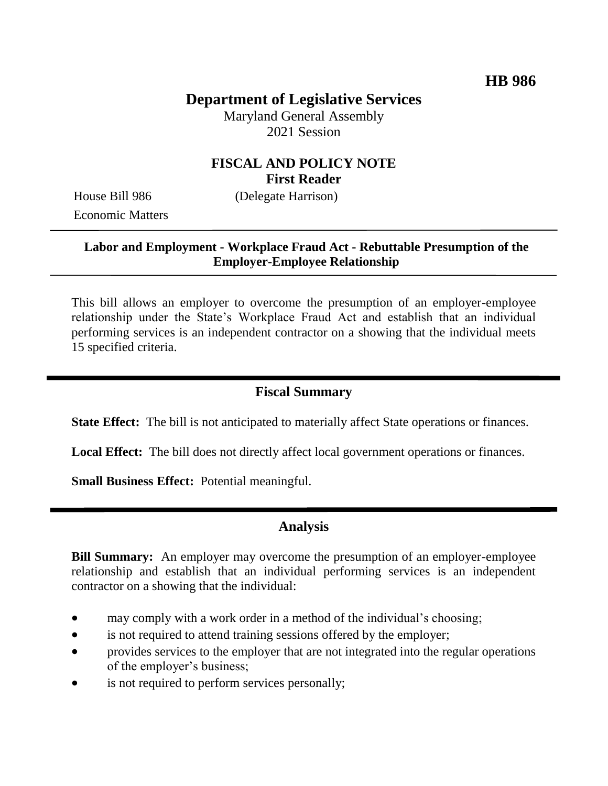# **Department of Legislative Services**

Maryland General Assembly 2021 Session

# **FISCAL AND POLICY NOTE First Reader**

Economic Matters

House Bill 986 (Delegate Harrison)

#### **Labor and Employment - Workplace Fraud Act - Rebuttable Presumption of the Employer-Employee Relationship**

This bill allows an employer to overcome the presumption of an employer-employee relationship under the State's Workplace Fraud Act and establish that an individual performing services is an independent contractor on a showing that the individual meets 15 specified criteria.

# **Fiscal Summary**

**State Effect:** The bill is not anticipated to materially affect State operations or finances.

**Local Effect:** The bill does not directly affect local government operations or finances.

**Small Business Effect:** Potential meaningful.

# **Analysis**

**Bill Summary:** An employer may overcome the presumption of an employer-employee relationship and establish that an individual performing services is an independent contractor on a showing that the individual:

- may comply with a work order in a method of the individual's choosing;
- is not required to attend training sessions offered by the employer;
- provides services to the employer that are not integrated into the regular operations of the employer's business;
- is not required to perform services personally;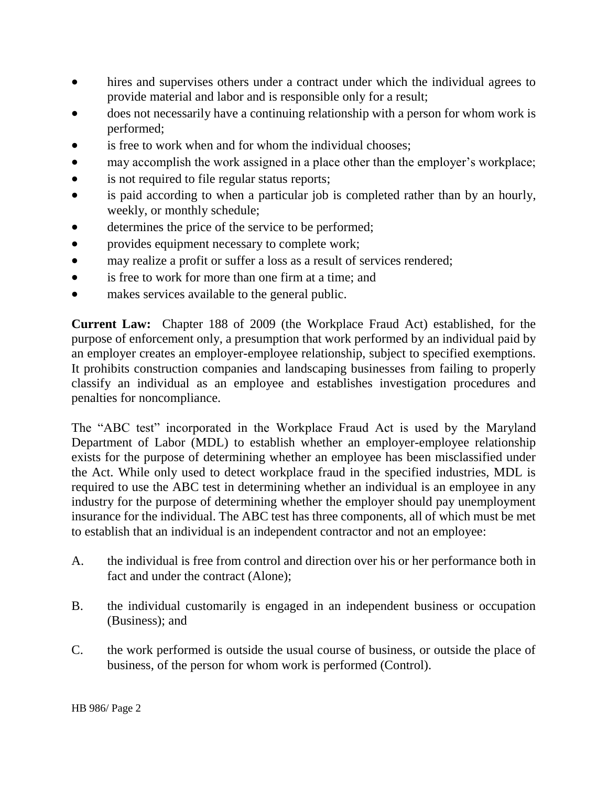- hires and supervises others under a contract under which the individual agrees to provide material and labor and is responsible only for a result;
- does not necessarily have a continuing relationship with a person for whom work is performed;
- is free to work when and for whom the individual chooses;
- may accomplish the work assigned in a place other than the employer's workplace;
- is not required to file regular status reports;
- is paid according to when a particular job is completed rather than by an hourly, weekly, or monthly schedule;
- determines the price of the service to be performed;
- provides equipment necessary to complete work;
- may realize a profit or suffer a loss as a result of services rendered;
- is free to work for more than one firm at a time: and
- makes services available to the general public.

**Current Law:** Chapter 188 of 2009 (the Workplace Fraud Act) established, for the purpose of enforcement only, a presumption that work performed by an individual paid by an employer creates an employer-employee relationship, subject to specified exemptions. It prohibits construction companies and landscaping businesses from failing to properly classify an individual as an employee and establishes investigation procedures and penalties for noncompliance.

The "ABC test" incorporated in the Workplace Fraud Act is used by the Maryland Department of Labor (MDL) to establish whether an employer-employee relationship exists for the purpose of determining whether an employee has been misclassified under the Act. While only used to detect workplace fraud in the specified industries, MDL is required to use the ABC test in determining whether an individual is an employee in any industry for the purpose of determining whether the employer should pay unemployment insurance for the individual. The ABC test has three components, all of which must be met to establish that an individual is an independent contractor and not an employee:

- A. the individual is free from control and direction over his or her performance both in fact and under the contract (Alone);
- B. the individual customarily is engaged in an independent business or occupation (Business); and
- C. the work performed is outside the usual course of business, or outside the place of business, of the person for whom work is performed (Control).